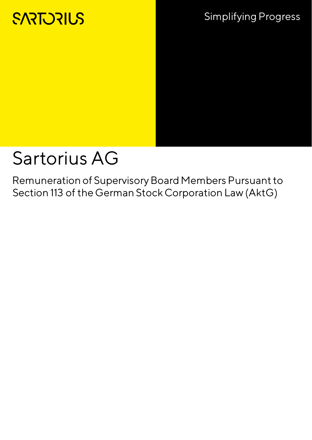## **SARTORIUS**

## Sartorius AG

Remuneration of Supervisory Board Members Pursuant to Section 113 of the German Stock Corporation Law (AktG)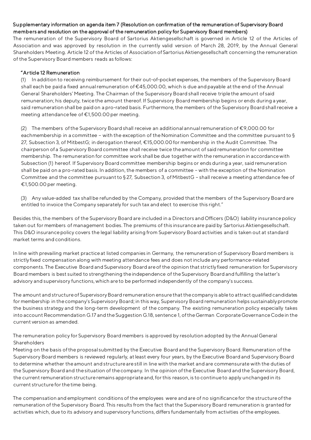## Su pplementary information on agenda item 7 (Resolution on confirmation of the remuneration of Supervisory Board members and resolution on the approval of the remuneration policy for Supervisory Board members)

The remuneration of the Supervisory Board of Sartorius Aktiengesellschaft is governed in Article 12 of the Articles of Association and was approved by resolution in the currently valid version of March 28, 2019, by the Annual General Shareholders Meeting. Article 12 of the Articles of Association of Sartorius Aktiengesellschaft concerning the remuneration of the Supervisory Board members reads as follows:

## "Ar ticle 12 Remuneration

(1) In addition to receiving reimbursement for their out-of-pocket expenses, the members of the Supervisory Board shall each be paid a fixed annual remuneration of €45,000.00, which is due and payable at the end of the Annual General Shareholders' Meeting. The Chairman of the Supervisory Board shall receive triple the amount of said remuneration; his deputy, twice the amount thereof. If Supervisory Board membership begins or ends during a year, said remuneration shall be paid on a pro-rated basis. Furthermore, the members of the Supervisory Board shall receive a meeting attendance fee of €1,500.00 per meeting.

(2) The members of the Supervisory Board shall receive an additional annual remuneration of €9,000.00 for eachmembership in a committee – with the exception of the Nomination Committee and the committee pursuant to § 27, Subsection 3, of MitbestG; in derogation thereof, €15,000.00 for membership in the Audit Committee. The chairperson of a Supervisory Board committee shall receive twice the amount of said remuneration for committee membership. The remuneration for committee work shall be due together with the remuneration in accordance with Subsection (1) hereof. If Supervisory Board committee membership begins or ends during a year, said remuneration shall be paid on a pro-rated basis. In addition, the members of a committee – with the exception of the Nomination Committee and the committee pursuant to § 27, Subsection 3, of MitbestG – shall receive a meeting attendance fee of €1,500.00 per meeting.

(3) Any value-added tax shall be refunded by the Company, provided that the members of the Supervisory Board are entitled to invoice the Company separately for such tax and elect to exercise this right."

Besides this, the members of the Supervisory Board are included in a Directors and Officers (D&O) liability insurance policy taken out for members of management bodies. The premiums of this insurance are paid by Sartorius Aktiengesellschaft. This D&O insurance policy covers the legal liability arising from Supervisory Board activities and is taken out at standard market terms and conditions.

In line with prevailing market practice at listed companies in Germany, the remuneration of Supervisory Board members is strictly fixed compensation along with meeting attendance fees and does not include any performance-related components. The Executive Board and Supervisory Board are of the opinion that strictly fixed remuneration for Supervisory Board members is best suited to strengthening the independence of the Supervisory Board and fulfilling the latter's advisory and supervisory functions, which are to be performed independently of the company's success.

The amount and structure of Supervisory Board remuneration ensure that the company is able to attract qualified candidates for membership in the company's Supervisory Board; in this way, Supervisory Board remuneration helps sustainably promote the business strategy and the long-term development of the company. The existing remuneration policy especially takes into account Recommendation G.17 and the Suggestion G.18, sentence 1, of the German Corporate Governance Code in the current version as amended.

The remuneration policy for Supervisory Board members is approved by resolution adopted by the Annual General **Shareholders** 

Meeting on the basis of the proposal submitted by the Executive Board and the Supervisory Board. Remuneration of the Supervisory Board members is reviewed regularly, at least every four years, by the Executive Board and Supervisory Board to determine whether the amount and structure are still in line with the market and are commensurate with the duties of the Supervisory Board and the situation of the company. In the opinion of the Executive Board and the Supervisory Board, the current remuneration structure remains appropriate and, for this reason, is to continue to apply unchanged in its current structure for the time being.

The compensation and employment conditions of the employees were and are of no significance for the structure of the remuneration of the Supervisory Board. This results from the fact that the Supervisory Board remuneration is granted for activities which, due to its advisory and supervisory functions, differs fundamentally from activities of the employees.